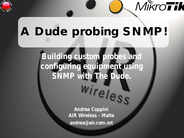

# **A Dude probing SNMP!**

MikroTik

**Building custom probes and configuring equipment using**  SNMP with The Dude.<br>Wireless

> **Andrea Coppini AIR Wireless - Malta andrea@air.com.mt**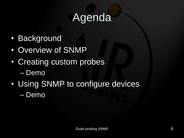## Agenda

- Background
- Overview of SNMP
- Creating custom probes – Demo
- Using SNMP to configure devices – Demo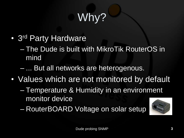# Why?

- 3<sup>rd</sup> Party Hardware
	- The Dude is built with MikroTik RouterOS in mind
	- ... But all networks are heterogenous.
- Values which are not monitored by default
	- Temperature & Humidity in an environment monitor device
	- RouterBOARD Voltage on solar setup

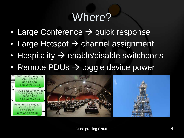### Where?

- Large Conference  $\rightarrow$  quick response
- Large Hotspot > channel assignment
- Hospitality  $\rightarrow$  enable/disable switchports
- Remote PDUs > toggle device power

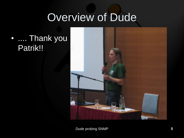#### Overview of Dude

#### • .... Thank you Patrik!!

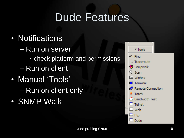#### Dude Features

- Notifications
	- Run on server
		- check platform and permissions!
	- Run on client
- Manual 'Tools' – Run on client only
- SNMP Walk

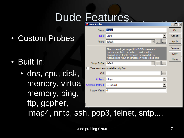## Dude Features

• Custom Probes

- Built In:
	- dns, cpu, disk, memory, virtual memory, ping, ftp, gopher,

| New Probe                             |                                                                                                   |     | ×      |
|---------------------------------------|---------------------------------------------------------------------------------------------------|-----|--------|
| Name: Probe                           |                                                                                                   |     | 0k     |
|                                       | Type: SNMP                                                                                        |     | Cancel |
|                                       | Agent: default                                                                                    | 000 | Apply  |
|                                       | This probe will get single SNMP OIDs value and                                                    |     | Remove |
|                                       | perform specified comparison. Service will be<br>decided as up if valid response for given OID is |     | Copy   |
|                                       | received and result of comparison yields logical true                                             |     | Notes  |
| Snmp Profile: default                 | $\Box$                                                                                            | 000 |        |
| Treat service as available only if up |                                                                                                   |     |        |
| Oid:                                  |                                                                                                   | 000 |        |
| Oid Type:   integer                   |                                                                                                   |     |        |
| Compare Method:  == (equal)           |                                                                                                   |     |        |
| Integer Value: 0                      |                                                                                                   |     |        |
|                                       |                                                                                                   |     |        |
|                                       |                                                                                                   |     |        |
|                                       |                                                                                                   |     |        |

imap4, nntp, ssh, pop3, telnet, sntp....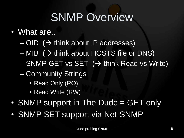## SNMP Overview

#### • What are..

- $-$  OID ( $\rightarrow$  think about IP addresses)
- $-$  MIB ( $\rightarrow$  think about HOSTS file or DNS)
- $-$  SNMP GET vs SET ( $\rightarrow$  think Read vs Write)
- Community Strings
	- Read Only (RO)
	- Read Write (RW)
- SNMP support in The Dude = GET only
- SNMP SET support via Net-SNMP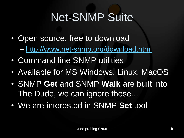# Net-SNMP Suite

- Open source, free to download – <http://www.net-snmp.org/download.html>
- Command line SNMP utilities
- Available for MS Windows, Linux, MacOS
- SNMP **Get** and SNMP **Walk** are built into The Dude, we can ignore those...
- We are interested in SNMP **Set** tool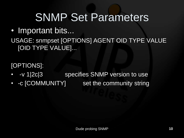- Important bits...
- USAGE: snmpset [OPTIONS] AGENT OID TYPE VALUE [OID TYPE VALUE]...

[OPTIONS]:

- -v 1|2c|3 specifies SNMP version to use
- -c [COMMUNITY] set the community string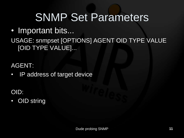• Important bits...

#### USAGE: snmpset [OPTIONS] AGENT OID TYPE VALUE [OID TYPE VALUE]...

AGENT:

• IP address of target device

OID:

• OID string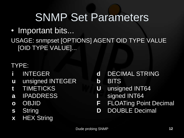- Important bits...
- USAGE: snmpset [OPTIONS] AGENT OID TYPE VALUE [OID TYPE VALUE]...

TYPE:

- **i** INTEGER
- **u** unsigned INTEGER
- **t** TIMETICKS
- **a** IPADDRESS
- **o** OBJID
- **s** String
- **x** HEX String
- **d** DECIMAL STRING
- **b** BITS
- **U** unsigned INT64
- **I** signed INT64
- **F** FLOATing Point Decimal
- **D** DOUBLE Decimal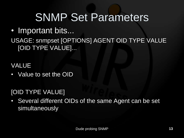• Important bits...

#### USAGE: snmpset [OPTIONS] AGENT OID TYPE VALUE [OID TYPE VALUE]...

VALUE

• Value to set the OID

#### [OID TYPE VALUE]

• Several different OIDs of the same Agent can be set simultaneously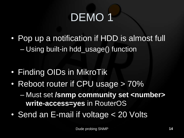# DEMO<sub>1</sub>

- Pop up a notification if HDD is almost full – Using built-in hdd\_usage() function
- Finding OIDs in MikroTik
- Reboot router if CPU usage > 70%

– Must set **/snmp community set <number> write-access=yes** in RouterOS

• Send an E-mail if voltage < 20 Volts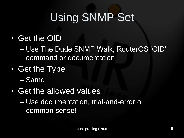# Using SNMP Set

- Get the OID
	- Use The Dude SNMP Walk, RouterOS "OID" command or documentation
- Get the Type
	- Same
- Get the allowed values
	- Use documentation, trial-and-error or common sense!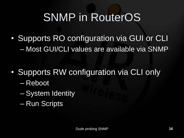## SNMP in RouterOS

• Supports RO configuration via GUI or CLI – Most GUI/CLI values are available via SNMP

- Supports RW configuration via CLI only
	- Reboot
	- System Identity
	- Run Scripts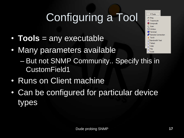# Configuring a Tool

- **Tools** = any executable
- Many parameters available  $\square$  Ftn  $\Box$  Dude – But not SNMP Community.. Specify this in CustomField1
- Runs on Client machine
- Can be configured for particular device types

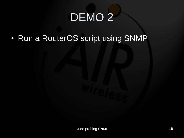# DEMO<sub>2</sub>

• Run a RouterOS script using SNMP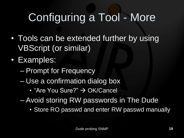# Configuring a Tool - More

- Tools can be extended further by using VBScript (or similar)
- Examples:
	- Prompt for Frequency
	- Use a confirmation dialog box
		- "Are You Sure?"  $\rightarrow$  OK/Cancel
	- Avoid storing RW passwords in The Dude
		- Store RO passwd and enter RW passwd manually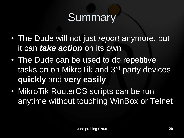# **Summary**

- The Dude will not just *report* anymore, but it can *take action* on its own
- The Dude can be used to do repetitive tasks on on MikroTik and 3rd party devices **quickly** and **very easily**
- MikroTik RouterOS scripts can be run anytime without touching WinBox or Telnet